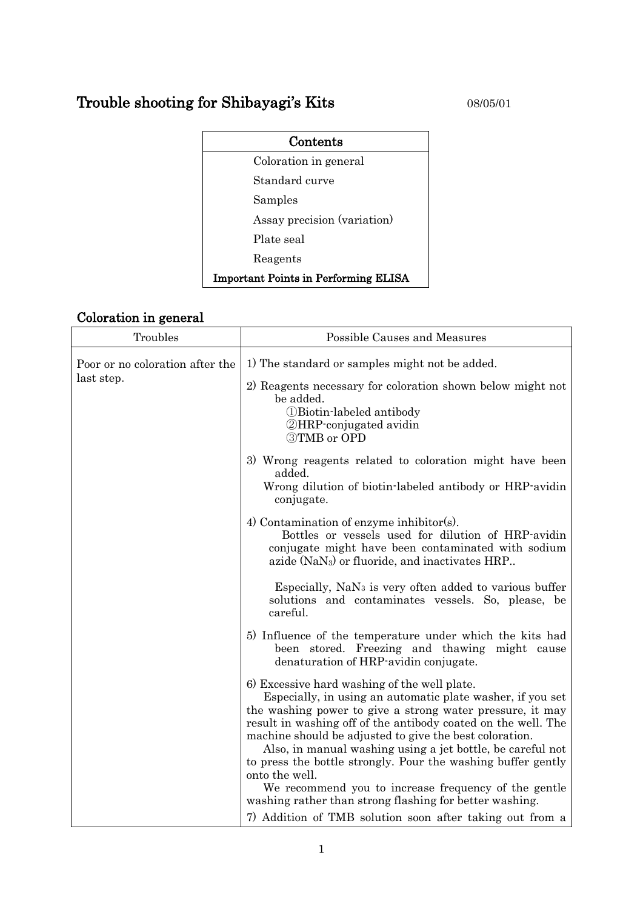# Trouble shooting for Shibayagi's Kits 08/05/01

| Contents                                    |  |  |
|---------------------------------------------|--|--|
| Coloration in general                       |  |  |
| Standard curve                              |  |  |
| Samples                                     |  |  |
| Assay precision (variation)                 |  |  |
| Plate seal                                  |  |  |
| Reagents                                    |  |  |
| <b>Important Points in Performing ELISA</b> |  |  |

# Coloration in general

| Troubles                                      | Possible Causes and Measures                                                                                                                                                                                                                                                                                                                                                                                                                                                                                |
|-----------------------------------------------|-------------------------------------------------------------------------------------------------------------------------------------------------------------------------------------------------------------------------------------------------------------------------------------------------------------------------------------------------------------------------------------------------------------------------------------------------------------------------------------------------------------|
| Poor or no coloration after the<br>last step. | 1) The standard or samples might not be added.                                                                                                                                                                                                                                                                                                                                                                                                                                                              |
|                                               | 2) Reagents necessary for coloration shown below might not<br>be added.<br><b><i>OBiotin-labeled antibody</i></b><br><b>2HRP</b> -conjugated avidin<br><b>3TMB</b> or OPD                                                                                                                                                                                                                                                                                                                                   |
|                                               | 3) Wrong reagents related to coloration might have been<br>added.<br>Wrong dilution of biotin-labeled antibody or HRP-avidin<br>conjugate.                                                                                                                                                                                                                                                                                                                                                                  |
|                                               | 4) Contamination of enzyme inhibitor(s).<br>Bottles or vessels used for dilution of HRP-avidin<br>conjugate might have been contaminated with sodium<br>azide (NaN <sub>3</sub> ) or fluoride, and inactivates HRP                                                                                                                                                                                                                                                                                          |
|                                               | Especially, NaN <sub>3</sub> is very often added to various buffer<br>solutions and contaminates vessels. So, please, be<br>careful.                                                                                                                                                                                                                                                                                                                                                                        |
|                                               | 5) Influence of the temperature under which the kits had<br>been stored. Freezing and thawing might cause<br>denaturation of HRP-avidin conjugate.                                                                                                                                                                                                                                                                                                                                                          |
|                                               | 6) Excessive hard washing of the well plate.<br>Especially, in using an automatic plate washer, if you set<br>the washing power to give a strong water pressure, it may<br>result in washing off of the antibody coated on the well. The<br>machine should be adjusted to give the best coloration.<br>Also, in manual washing using a jet bottle, be careful not<br>to press the bottle strongly. Pour the washing buffer gently<br>onto the well.<br>We recommend you to increase frequency of the gentle |
|                                               | washing rather than strong flashing for better washing.<br>7) Addition of TMB solution soon after taking out from a                                                                                                                                                                                                                                                                                                                                                                                         |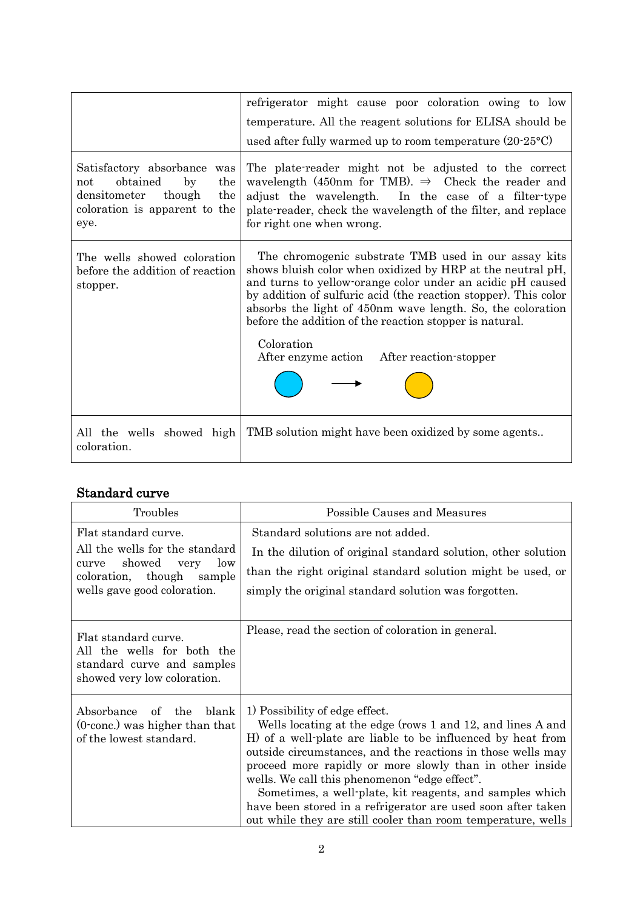|                                                                                                                                       | refrigerator might cause poor coloration owing to low<br>temperature. All the reagent solutions for ELISA should be<br>used after fully warmed up to room temperature $(20-25\textdegree C)$                                                                                                                                                                                                                                             |
|---------------------------------------------------------------------------------------------------------------------------------------|------------------------------------------------------------------------------------------------------------------------------------------------------------------------------------------------------------------------------------------------------------------------------------------------------------------------------------------------------------------------------------------------------------------------------------------|
| Satisfactory absorbance was<br>obtained<br>by<br>the<br>not<br>the<br>densitometer<br>though<br>coloration is apparent to the<br>eye. | The plate-reader might not be adjusted to the correct<br>wavelength (450nm for TMB). $\Rightarrow$ Check the reader and<br>adjust the wavelength. In the case of a filter-type<br>plate-reader, check the wavelength of the filter, and replace<br>for right one when wrong.                                                                                                                                                             |
| The wells showed coloration<br>before the addition of reaction<br>stopper.                                                            | The chromogenic substrate TMB used in our assay kits<br>shows bluish color when oxidized by HRP at the neutral pH,<br>and turns to yellow orange color under an acidic pH caused<br>by addition of sulfuric acid (the reaction stopper). This color<br>absorbs the light of 450nm wave length. So, the coloration<br>before the addition of the reaction stopper is natural.<br>Coloration<br>After enzyme action After reaction-stopper |
| All the wells showed high<br>coloration.                                                                                              | TMB solution might have been oxidized by some agents                                                                                                                                                                                                                                                                                                                                                                                     |

## Standard curve

| Troubles                                                                                                                                                | Possible Causes and Measures                                                                                                                                                                                                                                                                                                                                                                                                                                                                                                        |
|---------------------------------------------------------------------------------------------------------------------------------------------------------|-------------------------------------------------------------------------------------------------------------------------------------------------------------------------------------------------------------------------------------------------------------------------------------------------------------------------------------------------------------------------------------------------------------------------------------------------------------------------------------------------------------------------------------|
| Flat standard curve.<br>All the wells for the standard<br>showed<br>low<br>very<br>curve<br>coloration, though<br>sample<br>wells gave good coloration. | Standard solutions are not added.<br>In the dilution of original standard solution, other solution<br>than the right original standard solution might be used, or<br>simply the original standard solution was forgotten.                                                                                                                                                                                                                                                                                                           |
| Flat standard curve.<br>All the wells for both the<br>standard curve and samples<br>showed very low coloration.                                         | Please, read the section of coloration in general.                                                                                                                                                                                                                                                                                                                                                                                                                                                                                  |
| Absorbance<br>of the<br>blank<br>$(0$ conc.) was higher than that<br>of the lowest standard.                                                            | 1) Possibility of edge effect.<br>Wells locating at the edge (rows 1 and 12, and lines A and<br>H) of a well-plate are liable to be influenced by heat from<br>outside circumstances, and the reactions in those wells may<br>proceed more rapidly or more slowly than in other inside<br>wells. We call this phenomenon "edge effect".<br>Sometimes, a well-plate, kit reagents, and samples which<br>have been stored in a refrigerator are used soon after taken<br>out while they are still cooler than room temperature, wells |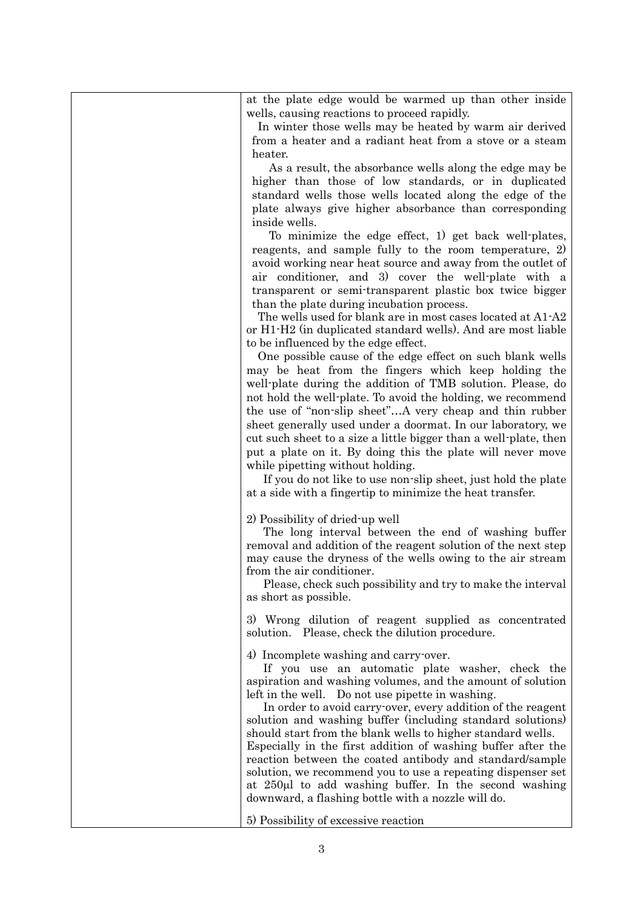| at the plate edge would be warmed up than other inside<br>wells, causing reactions to proceed rapidly.                         |
|--------------------------------------------------------------------------------------------------------------------------------|
| In winter those wells may be heated by warm air derived                                                                        |
| from a heater and a radiant heat from a stove or a steam                                                                       |
| heater.                                                                                                                        |
| As a result, the absorbance wells along the edge may be                                                                        |
| higher than those of low standards, or in duplicated                                                                           |
| standard wells those wells located along the edge of the                                                                       |
| plate always give higher absorbance than corresponding                                                                         |
| inside wells.                                                                                                                  |
| To minimize the edge effect, 1) get back well-plates,                                                                          |
| reagents, and sample fully to the room temperature, 2)                                                                         |
| avoid working near heat source and away from the outlet of                                                                     |
| air conditioner, and 3) cover the well-plate with a                                                                            |
| transparent or semi-transparent plastic box twice bigger                                                                       |
| than the plate during incubation process.                                                                                      |
| The wells used for blank are in most cases located at A1-A2                                                                    |
| or H1-H2 (in duplicated standard wells). And are most liable                                                                   |
| to be influenced by the edge effect.                                                                                           |
| One possible cause of the edge effect on such blank wells                                                                      |
| may be heat from the fingers which keep holding the                                                                            |
| well-plate during the addition of TMB solution. Please, do                                                                     |
| not hold the well-plate. To avoid the holding, we recommend                                                                    |
| the use of "non-slip sheet"A very cheap and thin rubber                                                                        |
| sheet generally used under a doormat. In our laboratory, we                                                                    |
| cut such sheet to a size a little bigger than a well-plate, then<br>put a plate on it. By doing this the plate will never move |
| while pipetting without holding.                                                                                               |
| If you do not like to use non-slip sheet, just hold the plate                                                                  |
| at a side with a fingertip to minimize the heat transfer.                                                                      |
|                                                                                                                                |
| 2) Possibility of dried-up well                                                                                                |
| The long interval between the end of washing buffer                                                                            |
| removal and addition of the reagent solution of the next step                                                                  |
| may cause the dryness of the wells owing to the air stream                                                                     |
| from the air conditioner.                                                                                                      |
| Please, check such possibility and try to make the interval                                                                    |
| as short as possible.                                                                                                          |
| 3) Wrong dilution of reagent supplied as concentrated                                                                          |
| solution. Please, check the dilution procedure.                                                                                |
| 4) Incomplete washing and carry-over.                                                                                          |
| If you use an automatic plate washer, check the                                                                                |
| aspiration and washing volumes, and the amount of solution                                                                     |
| left in the well. Do not use pipette in washing.                                                                               |
| In order to avoid carry over, every addition of the reagent                                                                    |
| solution and washing buffer (including standard solutions)                                                                     |
| should start from the blank wells to higher standard wells.                                                                    |
| Especially in the first addition of washing buffer after the                                                                   |
| reaction between the coated antibody and standard/sample                                                                       |
| solution, we recommend you to use a repeating dispenser set                                                                    |
| at 250µl to add washing buffer. In the second washing<br>downward, a flashing bottle with a nozzle will do.                    |
|                                                                                                                                |
| 5) Possibility of excessive reaction                                                                                           |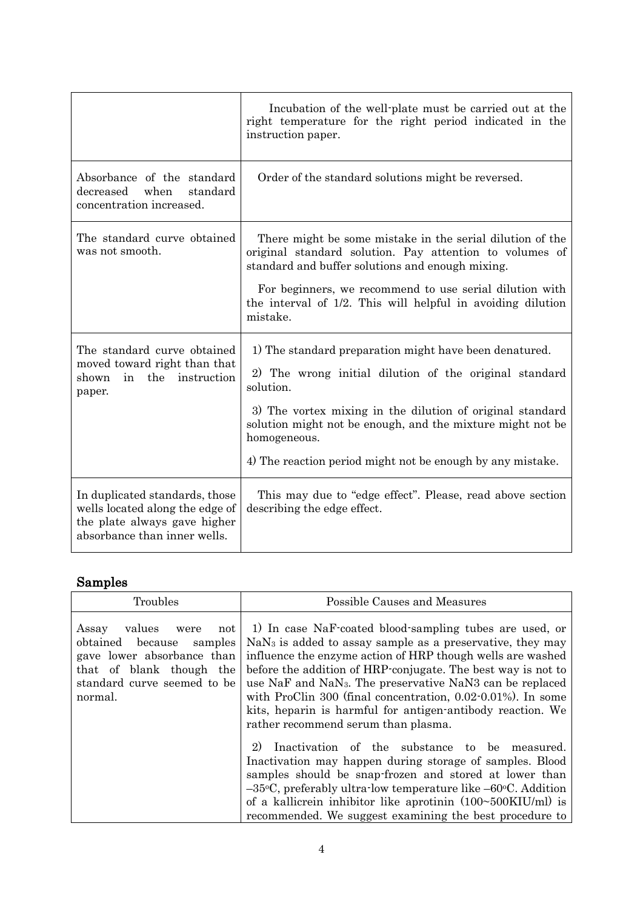|                                                                                                                                   | Incubation of the well-plate must be carried out at the<br>right temperature for the right period indicated in the<br>instruction paper.                                                                                                                                                                                               |
|-----------------------------------------------------------------------------------------------------------------------------------|----------------------------------------------------------------------------------------------------------------------------------------------------------------------------------------------------------------------------------------------------------------------------------------------------------------------------------------|
| Absorbance of the standard<br>decreased<br>when<br>standard<br>concentration increased.                                           | Order of the standard solutions might be reversed.                                                                                                                                                                                                                                                                                     |
| The standard curve obtained<br>was not smooth.                                                                                    | There might be some mistake in the serial dilution of the<br>original standard solution. Pay attention to volumes of<br>standard and buffer solutions and enough mixing.<br>For beginners, we recommend to use serial dilution with<br>the interval of 1/2. This will helpful in avoiding dilution<br>mistake.                         |
| The standard curve obtained<br>moved toward right than that<br>the<br>instruction<br>shown<br>in<br>paper.                        | 1) The standard preparation might have been denatured.<br>2) The wrong initial dilution of the original standard<br>solution.<br>3) The vortex mixing in the dilution of original standard<br>solution might not be enough, and the mixture might not be<br>homogeneous.<br>4) The reaction period might not be enough by any mistake. |
| In duplicated standards, those<br>wells located along the edge of<br>the plate always gave higher<br>absorbance than inner wells. | This may due to "edge effect". Please, read above section<br>describing the edge effect.                                                                                                                                                                                                                                               |

# Samples

| Troubles                                                                                                                                                             | Possible Causes and Measures                                                                                                                                                                                                                                                                                                                                                                                                                                                                                 |
|----------------------------------------------------------------------------------------------------------------------------------------------------------------------|--------------------------------------------------------------------------------------------------------------------------------------------------------------------------------------------------------------------------------------------------------------------------------------------------------------------------------------------------------------------------------------------------------------------------------------------------------------------------------------------------------------|
| Assay<br>values<br>not<br>were<br>samples<br>obtained<br>because<br>gave lower absorbance than<br>that of blank though the<br>standard curve seemed to be<br>normal. | 1) In case NaF-coated blood-sampling tubes are used, or<br>$NaN3$ is added to assay sample as a preservative, they may<br>influence the enzyme action of HRP though wells are washed<br>before the addition of HRP-conjugate. The best way is not to<br>use NaF and NaN <sub>3</sub> . The preservative NaN <sub>3</sub> can be replaced<br>with ProClin 300 (final concentration, 0.02-0.01%). In some<br>kits, heparin is harmful for antigen-antibody reaction. We<br>rather recommend serum than plasma. |
|                                                                                                                                                                      | Inactivation of the substance to be<br>2)<br>measured.<br>Inactivation may happen during storage of samples. Blood<br>samples should be snap-frozen and stored at lower than<br>$-35$ °C, preferably ultra-low temperature like $-60$ °C. Addition<br>of a kallicrein inhibitor like aprotinin $(100~500KIU/ml)$ is<br>recommended. We suggest examining the best procedure to                                                                                                                               |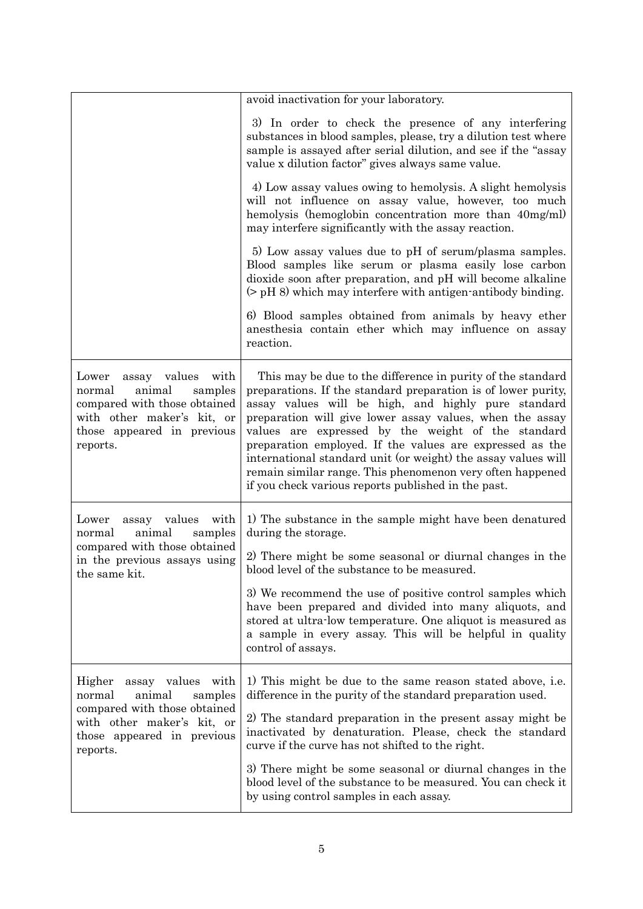|                                                                                                                                                                      | avoid inactivation for your laboratory.                                                                                                                                                                                                                                                                                                                                                                                                                                                                                                                |
|----------------------------------------------------------------------------------------------------------------------------------------------------------------------|--------------------------------------------------------------------------------------------------------------------------------------------------------------------------------------------------------------------------------------------------------------------------------------------------------------------------------------------------------------------------------------------------------------------------------------------------------------------------------------------------------------------------------------------------------|
|                                                                                                                                                                      | 3) In order to check the presence of any interfering<br>substances in blood samples, please, try a dilution test where<br>sample is assayed after serial dilution, and see if the "assay<br>value x dilution factor" gives always same value.                                                                                                                                                                                                                                                                                                          |
|                                                                                                                                                                      | 4) Low assay values owing to hemolysis. A slight hemolysis<br>will not influence on assay value, however, too much<br>hemolysis (hemoglobin concentration more than 40mg/ml)<br>may interfere significantly with the assay reaction.                                                                                                                                                                                                                                                                                                                   |
|                                                                                                                                                                      | 5) Low assay values due to pH of serum/plasma samples.<br>Blood samples like serum or plasma easily lose carbon<br>dioxide soon after preparation, and pH will become alkaline<br>$($ pH 8) which may interfere with antigen-antibody binding.                                                                                                                                                                                                                                                                                                         |
|                                                                                                                                                                      | 6) Blood samples obtained from animals by heavy ether<br>anesthesia contain ether which may influence on assay<br>reaction.                                                                                                                                                                                                                                                                                                                                                                                                                            |
| assay values<br>Lower<br>with<br>animal<br>samples<br>normal<br>compared with those obtained<br>with other maker's kit, or<br>those appeared in previous<br>reports. | This may be due to the difference in purity of the standard<br>preparations. If the standard preparation is of lower purity,<br>assay values will be high, and highly pure standard<br>preparation will give lower assay values, when the assay<br>values are expressed by the weight of the standard<br>preparation employed. If the values are expressed as the<br>international standard unit (or weight) the assay values will<br>remain similar range. This phenomenon very often happened<br>if you check various reports published in the past. |
| assay values<br>Lower<br>with<br>animal<br>normal<br>samples<br>compared with those obtained<br>in the previous assays using<br>the same kit.                        | 1) The substance in the sample might have been denatured<br>during the storage.<br>2) There might be some seasonal or diurnal changes in the<br>blood level of the substance to be measured.                                                                                                                                                                                                                                                                                                                                                           |
|                                                                                                                                                                      | 3) We recommend the use of positive control samples which<br>have been prepared and divided into many aliquots, and<br>stored at ultra-low temperature. One aliquot is measured as<br>a sample in every assay. This will be helpful in quality<br>control of assays.                                                                                                                                                                                                                                                                                   |
| Higher<br>assay values with<br>animal<br>normal<br>samples                                                                                                           | 1) This might be due to the same reason stated above, i.e.<br>difference in the purity of the standard preparation used.                                                                                                                                                                                                                                                                                                                                                                                                                               |
| compared with those obtained<br>with other maker's kit, or<br>those appeared in previous<br>reports.                                                                 | 2) The standard preparation in the present assay might be<br>inactivated by denaturation. Please, check the standard<br>curve if the curve has not shifted to the right.                                                                                                                                                                                                                                                                                                                                                                               |
|                                                                                                                                                                      | 3) There might be some seasonal or diurnal changes in the<br>blood level of the substance to be measured. You can check it<br>by using control samples in each assay.                                                                                                                                                                                                                                                                                                                                                                                  |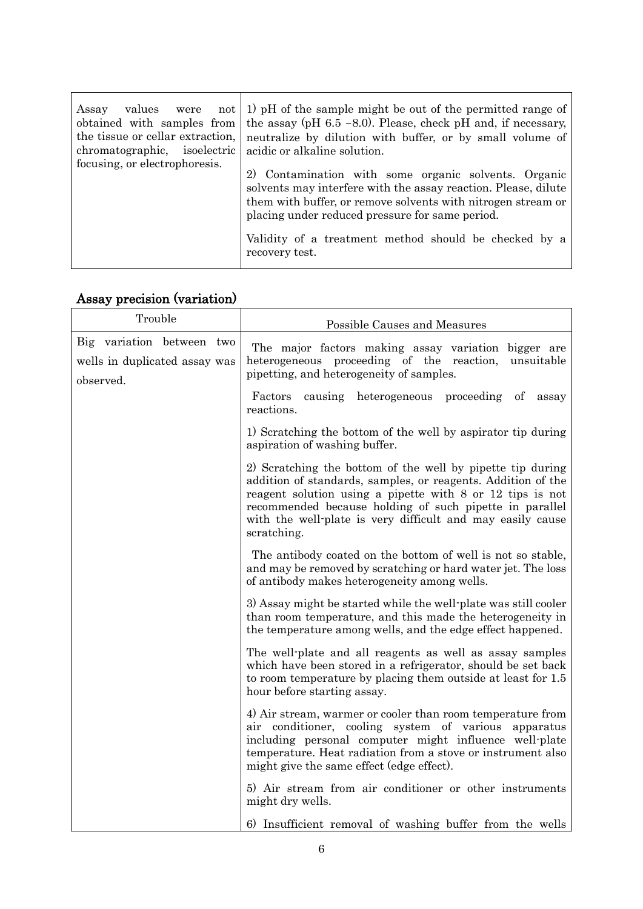| obtained with samples from<br>the tissue or cellar extraction,<br>chromatographic, isoelectric<br>focusing, or electrophoresis. | Assay values were not 1) pH of the sample might be out of the permitted range of<br>the assay (pH $6.5$ -8.0). Please, check pH and, if necessary,<br>neutralize by dilution with buffer, or by small volume of<br>acidic or alkaline solution.<br>2) Contamination with some organic solvents. Organic |
|---------------------------------------------------------------------------------------------------------------------------------|---------------------------------------------------------------------------------------------------------------------------------------------------------------------------------------------------------------------------------------------------------------------------------------------------------|
|                                                                                                                                 | solvents may interfere with the assay reaction. Please, dilute<br>them with buffer, or remove solvents with nitrogen stream or<br>placing under reduced pressure for same period.<br>Validity of a treatment method should be checked by a                                                              |
|                                                                                                                                 | recovery test.                                                                                                                                                                                                                                                                                          |

# Assay precision (variation)

| Trouble                                                                 | Possible Causes and Measures                                                                                                                                                                                                                                                                                                    |
|-------------------------------------------------------------------------|---------------------------------------------------------------------------------------------------------------------------------------------------------------------------------------------------------------------------------------------------------------------------------------------------------------------------------|
| Big variation between two<br>wells in duplicated assay was<br>observed. | The major factors making assay variation bigger are<br>heterogeneous proceeding of the reaction,<br>unsuitable<br>pipetting, and heterogeneity of samples.                                                                                                                                                                      |
|                                                                         | Factors<br>causing<br>heterogeneous proceeding of<br>assay<br>reactions.                                                                                                                                                                                                                                                        |
|                                                                         | 1) Scratching the bottom of the well by aspirator tip during<br>aspiration of washing buffer.                                                                                                                                                                                                                                   |
|                                                                         | 2) Scratching the bottom of the well by pipette tip during<br>addition of standards, samples, or reagents. Addition of the<br>reagent solution using a pipette with 8 or 12 tips is not<br>recommended because holding of such pipette in parallel<br>with the well-plate is very difficult and may easily cause<br>scratching. |
|                                                                         | The antibody coated on the bottom of well is not so stable,<br>and may be removed by scratching or hard water jet. The loss<br>of antibody makes heterogeneity among wells.                                                                                                                                                     |
|                                                                         | 3) Assay might be started while the well-plate was still cooler<br>than room temperature, and this made the heterogeneity in<br>the temperature among wells, and the edge effect happened.                                                                                                                                      |
|                                                                         | The well-plate and all reagents as well as assay samples<br>which have been stored in a refrigerator, should be set back<br>to room temperature by placing them outside at least for 1.5<br>hour before starting assay.                                                                                                         |
|                                                                         | 4) Air stream, warmer or cooler than room temperature from<br>air conditioner, cooling system of various<br>apparatus<br>including personal computer might influence well-plate<br>temperature. Heat radiation from a stove or instrument also<br>might give the same effect (edge effect).                                     |
|                                                                         | 5) Air stream from air conditioner or other instruments<br>might dry wells.                                                                                                                                                                                                                                                     |
|                                                                         | 6) Insufficient removal of washing buffer from the wells                                                                                                                                                                                                                                                                        |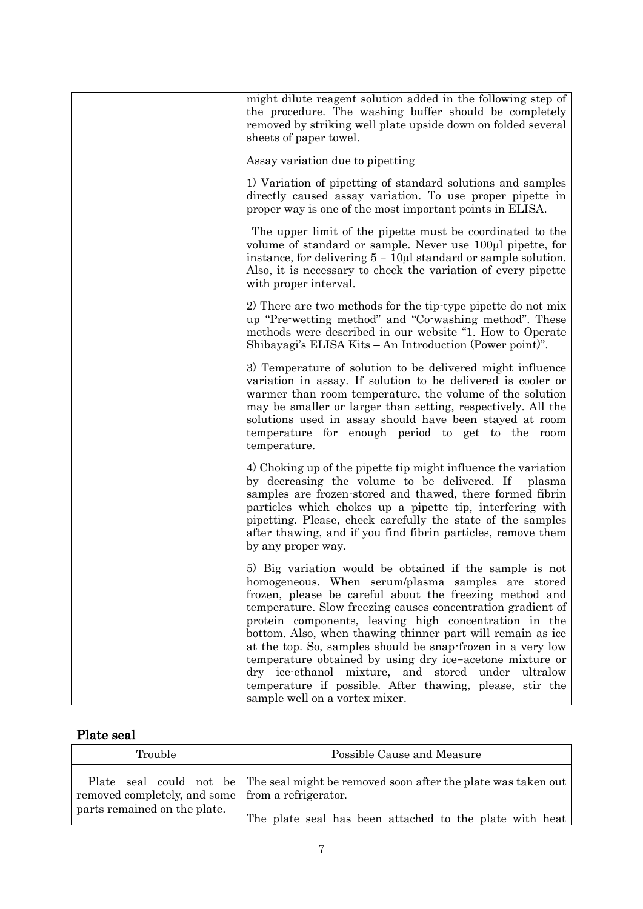| might dilute reagent solution added in the following step of<br>the procedure. The washing buffer should be completely<br>removed by striking well plate upside down on folded several<br>sheets of paper towel.                                                                                                                                                                                                                                                                                                                                                                                                                                |
|-------------------------------------------------------------------------------------------------------------------------------------------------------------------------------------------------------------------------------------------------------------------------------------------------------------------------------------------------------------------------------------------------------------------------------------------------------------------------------------------------------------------------------------------------------------------------------------------------------------------------------------------------|
| Assay variation due to pipetting                                                                                                                                                                                                                                                                                                                                                                                                                                                                                                                                                                                                                |
| 1) Variation of pipetting of standard solutions and samples<br>directly caused assay variation. To use proper pipette in<br>proper way is one of the most important points in ELISA.                                                                                                                                                                                                                                                                                                                                                                                                                                                            |
| The upper limit of the pipette must be coordinated to the<br>volume of standard or sample. Never use 100µl pipette, for<br>instance, for delivering $5 - 10\mu l$ standard or sample solution.<br>Also, it is necessary to check the variation of every pipette<br>with proper interval.                                                                                                                                                                                                                                                                                                                                                        |
| 2) There are two methods for the tip-type pipette do not mix<br>up "Pre-wetting method" and "Co-washing method". These<br>methods were described in our website "1. How to Operate<br>Shibayagi's ELISA Kits - An Introduction (Power point)".                                                                                                                                                                                                                                                                                                                                                                                                  |
| 3) Temperature of solution to be delivered might influence<br>variation in assay. If solution to be delivered is cooler or<br>warmer than room temperature, the volume of the solution<br>may be smaller or larger than setting, respectively. All the<br>solutions used in assay should have been stayed at room<br>temperature for enough period to get to the room<br>temperature.                                                                                                                                                                                                                                                           |
| 4) Choking up of the pipette tip might influence the variation<br>by decreasing the volume to be delivered. If<br>plasma<br>samples are frozen-stored and thawed, there formed fibrin<br>particles which chokes up a pipette tip, interfering with<br>pipetting. Please, check carefully the state of the samples<br>after thawing, and if you find fibrin particles, remove them<br>by any proper way.                                                                                                                                                                                                                                         |
| 5) Big variation would be obtained if the sample is not<br>homogeneous. When serum/plasma samples are stored<br>frozen, please be careful about the freezing method and<br>temperature. Slow freezing causes concentration gradient of<br>protein components, leaving high concentration in the<br>bottom. Also, when thawing thinner part will remain as ice<br>at the top. So, samples should be snap-frozen in a very low<br>temperature obtained by using dry ice-acetone mixture or<br>dry ice-ethanol mixture, and stored under<br>ultralow<br>temperature if possible. After thawing, please, stir the<br>sample well on a vortex mixer. |

# Plate seal

| Trouble                                             | Possible Cause and Measure                                                           |
|-----------------------------------------------------|--------------------------------------------------------------------------------------|
| removed completely, and some   from a refrigerator. | Plate seal could not be The seal might be removed soon after the plate was taken out |
| parts remained on the plate.                        | The plate seal has been attached to the plate with heat                              |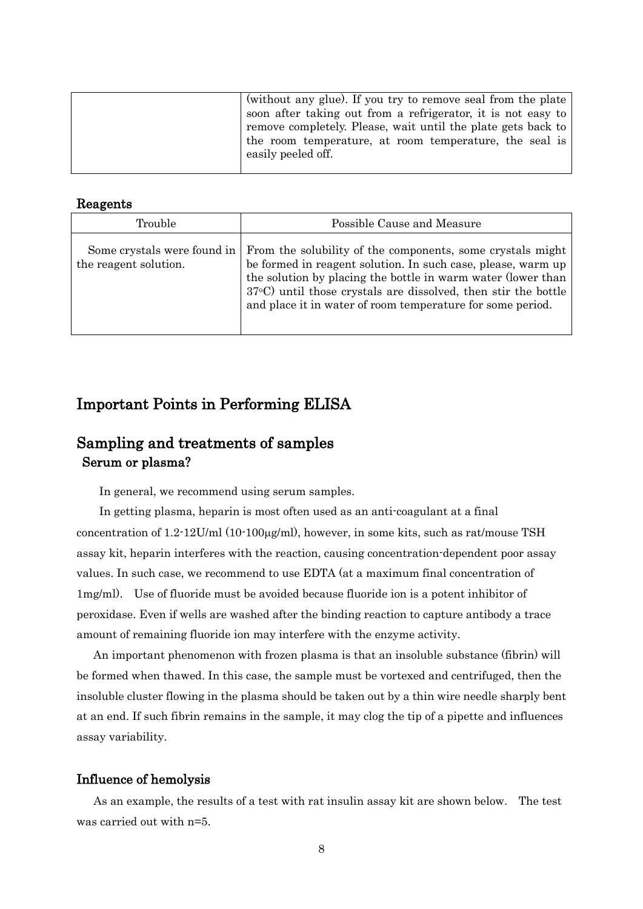| (without any glue). If you try to remove seal from the plate<br>soon after taking out from a refrigerator, it is not easy to<br>remove completely. Please, wait until the plate gets back to<br>the room temperature, at room temperature, the seal is<br>easily peeled off. |
|------------------------------------------------------------------------------------------------------------------------------------------------------------------------------------------------------------------------------------------------------------------------------|
|                                                                                                                                                                                                                                                                              |

## Reagents

| <b>Trouble</b>                                       | Possible Cause and Measure                                                                                                                                                                                                                                                                                                          |  |  |  |
|------------------------------------------------------|-------------------------------------------------------------------------------------------------------------------------------------------------------------------------------------------------------------------------------------------------------------------------------------------------------------------------------------|--|--|--|
| Some crystals were found in<br>the reagent solution. | From the solubility of the components, some crystals might<br>be formed in reagent solution. In such case, please, warm up<br>the solution by placing the bottle in warm water (lower than<br>$37\degree$ C) until those crystals are dissolved, then stir the bottle<br>and place it in water of room temperature for some period. |  |  |  |

## Important Points in Performing ELISA

## Sampling and treatments of samples Serum or plasma?

In general, we recommend using serum samples.

 In getting plasma, heparin is most often used as an anti-coagulant at a final concentration of  $1.2\text{-}12$ U/ml  $(10\text{-}100\mu\text{g/ml})$ , however, in some kits, such as rat/mouse TSH assay kit, heparin interferes with the reaction, causing concentration-dependent poor assay values. In such case, we recommend to use EDTA (at a maximum final concentration of 1mg/ml). Use of fluoride must be avoided because fluoride ion is a potent inhibitor of peroxidase. Even if wells are washed after the binding reaction to capture antibody a trace amount of remaining fluoride ion may interfere with the enzyme activity.

 An important phenomenon with frozen plasma is that an insoluble substance (fibrin) will be formed when thawed. In this case, the sample must be vortexed and centrifuged, then the insoluble cluster flowing in the plasma should be taken out by a thin wire needle sharply bent at an end. If such fibrin remains in the sample, it may clog the tip of a pipette and influences assay variability.

## Influence of hemolysis

As an example, the results of a test with rat insulin assay kit are shown below. The test was carried out with n=5.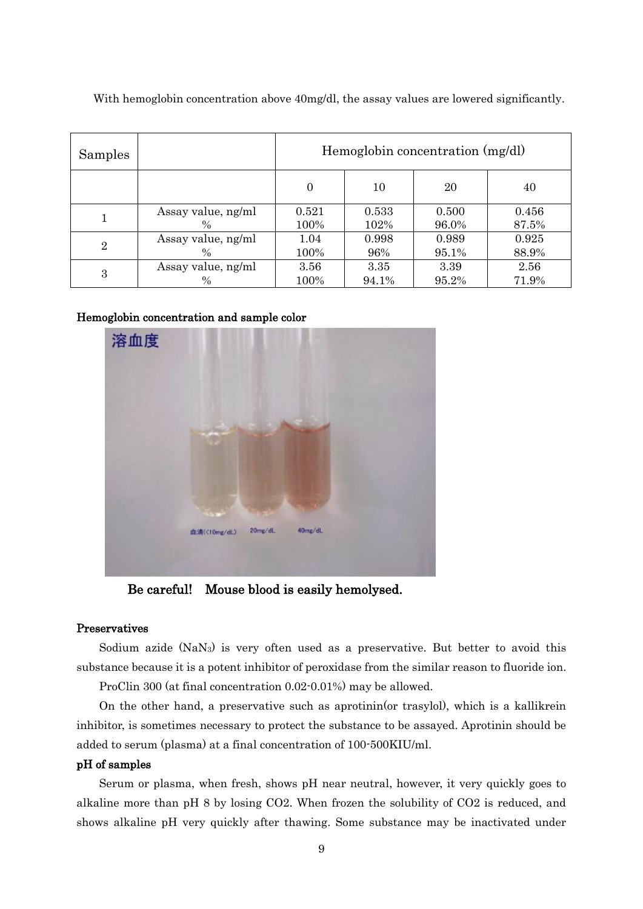| Samples        |                    | Hemoglobin concentration (mg/dl) |       |       |       |  |
|----------------|--------------------|----------------------------------|-------|-------|-------|--|
|                |                    | $\Omega$                         | 10    | 20    | 40    |  |
|                | Assay value, ng/ml | 0.521                            | 0.533 | 0.500 | 0.456 |  |
|                | $\%$               | 100%                             | 102%  | 96.0% | 87.5% |  |
| $\overline{2}$ | Assay value, ng/ml | 1.04                             | 0.998 | 0.989 | 0.925 |  |
|                | $\frac{0}{0}$      | 100%                             | 96%   | 95.1% | 88.9% |  |
| 3              | Assay value, ng/ml | 3.56                             | 3.35  | 3.39  | 2.56  |  |
|                | $\frac{0}{0}$      | 100%                             | 94.1% | 95.2% | 71.9% |  |

With hemoglobin concentration above 40mg/dl, the assay values are lowered significantly.

## Hemoglobin concentration and sample color



Be careful! Mouse blood is easily hemolysed.

### Preservatives

Sodium azide (NaN<sub>3</sub>) is very often used as a preservative. But better to avoid this substance because it is a potent inhibitor of peroxidase from the similar reason to fluoride ion.

ProClin 300 (at final concentration 0.02-0.01%) may be allowed.

 On the other hand, a preservative such as aprotinin(or trasylol), which is a kallikrein inhibitor, is sometimes necessary to protect the substance to be assayed. Aprotinin should be added to serum (plasma) at a final concentration of 100-500KIU/ml.

## pH of samples

 Serum or plasma, when fresh, shows pH near neutral, however, it very quickly goes to alkaline more than pH 8 by losing CO2. When frozen the solubility of CO2 is reduced, and shows alkaline pH very quickly after thawing. Some substance may be inactivated under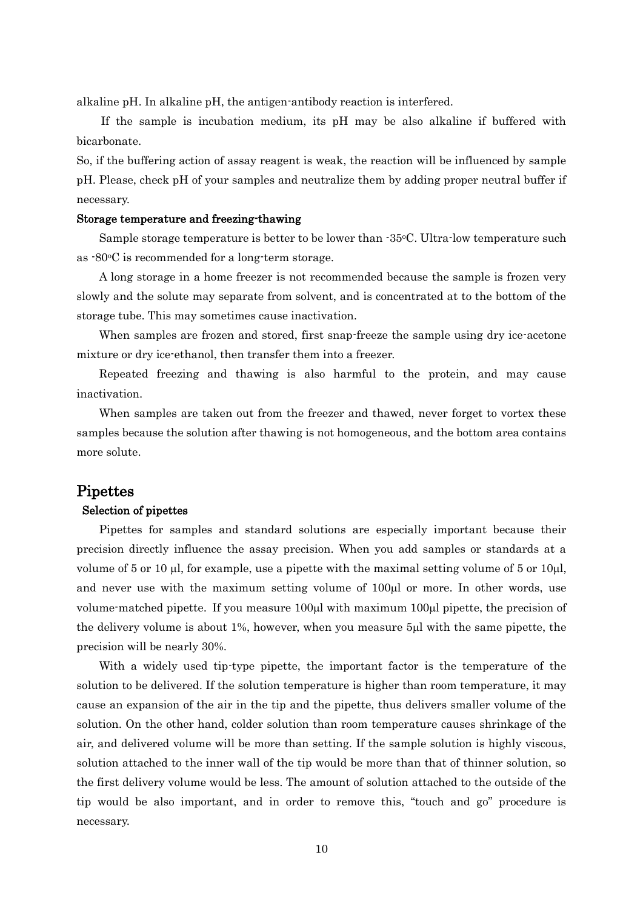alkaline pH. In alkaline pH, the antigen-antibody reaction is interfered.

 If the sample is incubation medium, its pH may be also alkaline if buffered with bicarbonate.

So, if the buffering action of assay reagent is weak, the reaction will be influenced by sample pH. Please, check pH of your samples and neutralize them by adding proper neutral buffer if necessary.

## Storage temperature and freezing-thawing

 Sample storage temperature is better to be lower than -35oC. Ultra-low temperature such as -80oC is recommended for a long-term storage.

 A long storage in a home freezer is not recommended because the sample is frozen very slowly and the solute may separate from solvent, and is concentrated at to the bottom of the storage tube. This may sometimes cause inactivation.

When samples are frozen and stored, first snap-freeze the sample using dry ice-acetone mixture or dry ice-ethanol, then transfer them into a freezer.

 Repeated freezing and thawing is also harmful to the protein, and may cause inactivation.

 When samples are taken out from the freezer and thawed, never forget to vortex these samples because the solution after thawing is not homogeneous, and the bottom area contains more solute.

## **Pipettes**

#### Selection of pipettes

 Pipettes for samples and standard solutions are especially important because their precision directly influence the assay precision. When you add samples or standards at a volume of 5 or 10  $\mu$ , for example, use a pipette with the maximal setting volume of 5 or 10 $\mu$ , and never use with the maximum setting volume of 100 ul or more. In other words, use volume-matched pipette. If you measure  $100\mu l$  with maximum  $100\mu l$  pipette, the precision of the delivery volume is about  $1\%$ , however, when you measure  $5\mu$  with the same pipette, the precision will be nearly 30%.

 With a widely used tip-type pipette, the important factor is the temperature of the solution to be delivered. If the solution temperature is higher than room temperature, it may cause an expansion of the air in the tip and the pipette, thus delivers smaller volume of the solution. On the other hand, colder solution than room temperature causes shrinkage of the air, and delivered volume will be more than setting. If the sample solution is highly viscous, solution attached to the inner wall of the tip would be more than that of thinner solution, so the first delivery volume would be less. The amount of solution attached to the outside of the tip would be also important, and in order to remove this, "touch and go" procedure is necessary.